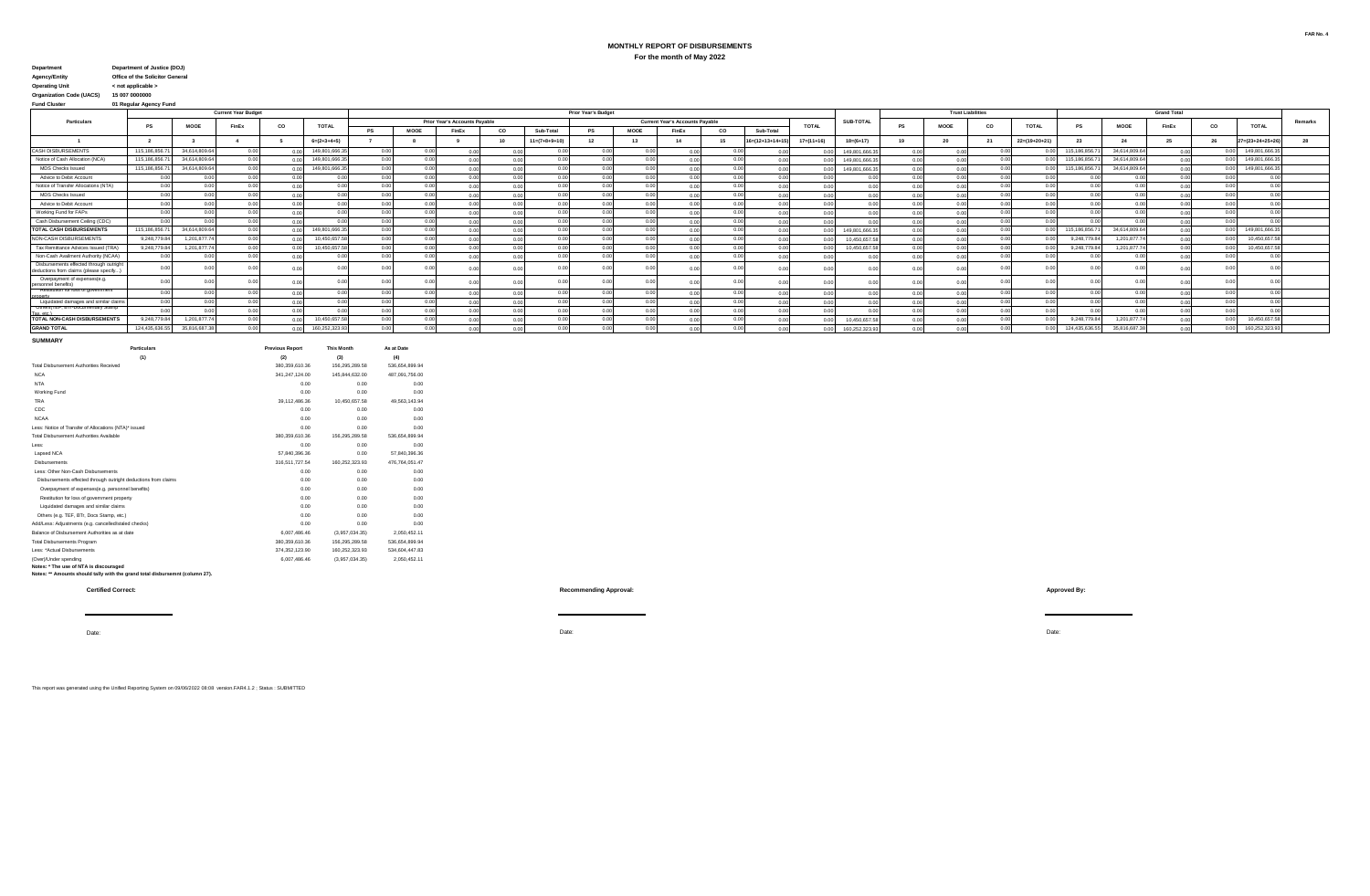# **MONTHLY REPORT OF DISBURSEMENTS**

### **For the month of May 2022**

| <b>Department</b> | Department of Justice (DOJ) |
|-------------------|-----------------------------|
|                   |                             |

**Agency/Entity Office of the Solicitor General Operating Unit < not applicable > Organization Code (UACS) 15 007 0000000**

**SUMMARY**

**Fund Cluster 01 Regular Agency Fund**

|                                                                                    |                  |                | <b>Current Year Budget</b> |      |               |      |       |             |                                      |                |                | <b>Prior Year's Budget</b> |             |                                        |      |                          |                            |                        |      | <b>Trust Liabilities</b> |       |                  |                |               | <b>Grand Total</b> |       |                            |         |
|------------------------------------------------------------------------------------|------------------|----------------|----------------------------|------|---------------|------|-------|-------------|--------------------------------------|----------------|----------------|----------------------------|-------------|----------------------------------------|------|--------------------------|----------------------------|------------------------|------|--------------------------|-------|------------------|----------------|---------------|--------------------|-------|----------------------------|---------|
| Particulars                                                                        |                  |                |                            |      |               |      |       |             | <b>Prior Year's Accounts Pavable</b> |                |                |                            |             | <b>Current Year's Accounts Pavable</b> |      |                          |                            | SUB-TOTAL              |      |                          |       |                  |                |               |                    |       |                            | Remarks |
|                                                                                    |                  | MOOE           | FinEx                      | co   | <b>TOTAL</b>  |      |       | <b>MOOE</b> | FinFx                                | CO.            | Sub-Total      | <b>PS</b>                  | <b>MOOE</b> | FinEx                                  | co   | Sub-Total                | <b>TOTAL</b>               |                        |      | <b>MODE</b>              | co    | <b>TOTAL</b>     | PS             | MOOE          | <b>FinEx</b>       | co    | <b>TOTAL</b>               |         |
|                                                                                    |                  |                |                            |      | $6=(2+3+4+5)$ |      |       |             |                                      | 10             | $11=(7+8+9+1)$ | 12                         | 13          |                                        |      | $16 = (12 + 13 + 14 + 1$ | $17 = (11 + 16)$           | $18 = (6 + 17)$        |      |                          |       | $22= (19+20+21)$ |                |               |                    | 26    | $27 = (23 + 24 + 25 + 26)$ |         |
| <b>CASH DISBURSEMENTS</b>                                                          | 115, 186, 856, 7 | 34.614.809.6   | 0.00                       |      | 149,801,666.  |      | 0.00  | 0.00        |                                      |                |                |                            |             | n nn                                   |      |                          |                            | 149 801 666 3          | 0.00 |                          | 0.00  |                  | 115.186.856.7  | 34.614.809.64 | 0.00               |       | 149,801,666.3              |         |
| Notice of Cash Allocation (NCA)                                                    | 115, 186, 856, 7 | 34,614,809.6   | 0.00                       |      | 149,801,666.  |      | 0.00  | 0.00        |                                      | 0.00           | 0.00           |                            |             |                                        | n on |                          |                            | 149 801 666 3          |      |                          | 0.00  |                  | 115.186.856.7  | 34.614.809.64 | 0.00               |       | 149.801.666.3              |         |
| MDS Checks Issued                                                                  | 115, 186, 856, 7 | 34.614.809.6   | 0.00                       |      | 149,801,666.3 |      | 0.00  | 0.00        |                                      |                | 0.00           |                            | 0.00        |                                        | 0.00 | n ni                     |                            | 149 801 666 3          |      |                          | 0.00  |                  | 115, 186, 856. | 34,614,809.64 | 0.00               | 0.001 | 149,801,666.35             |         |
| Advice to Debit Account                                                            | 0.00             | n nn           | 0.00                       |      |               | n ni | 0.00  | 0.00        |                                      |                | 0.001          |                            | n nn        |                                        | 0.00 |                          |                            |                        |      |                          | 0.00  | 0.00             | n nn           | 0.00          | 0.00               | 0.00  |                            |         |
| Notice of Transfer Allocations (NTA)                                               | 0.00             | 0.00           | 0.00                       |      |               | n on | 0.00  | 0.00        |                                      |                | 0.00           |                            | n nn        |                                        | 0.00 |                          | 0.00                       |                        |      |                          | 0.00  | 0.00             | 0.00           | 0.00          |                    | 0.00  | n nn                       |         |
| MDS Checks Issued                                                                  | 0.00             | 0.00           | 0.00                       |      |               | 0.00 | 0.00  | 0.00        |                                      | 0.00           | 0.00           |                            | n on        |                                        | 0.00 |                          | 0.00                       |                        |      |                          | 0.00  | 0.00             | 0.00           | 0.00          | n nn               | 0.00  | 0.00                       |         |
| Advice to Debit Account                                                            | 0.00             | 0.00           | 0.00                       |      |               | 0.00 | 0.00  | 0.00        |                                      | 0.00           | 0.00           |                            | 0.00        | 0.001                                  | 0.00 |                          |                            | 0.00<br>0.00           | 0.00 |                          | 0.00  | 0.00             | 0.00           | 0.00          | 0.00               | 0.00  | 0.001                      |         |
| Working Fund for FAPs                                                              | 0.00             | 0.00           | 0.001                      | 0.01 |               | 0.00 | 0.00  | 0.00        |                                      | 0.00           | 0.001          |                            | n on        | 0.001                                  | n on |                          | 0.00                       | 0.00                   | 0.01 |                          | 0.00  | 0.00             | 0.00           | 0.00          | 0.00               | 0.00  | 0.00                       |         |
| Cash Disbursement Ceiling (CDC)                                                    | 0.00             | n nn           | 0.00                       | 0.01 |               | 0.00 | 0.00  | 0.00        |                                      | 0.00           | 0.00           |                            | 0.00        | 0.00                                   | 0.00 |                          | 0.00                       | 0.00                   | 0.01 |                          | 0.00  | 0.00             | 0.00           | 0.001         | 0.00               | 0.00  | 0.00                       |         |
| <b>TOTAL CASH DISBURSEMENTS</b>                                                    | 115, 186, 856.   | 34,614,809.6   | n nn                       | 0.01 | 149.801.666.3 |      | 0.00  | 0.00        |                                      | 0.00           | 0.00           |                            | n rv        |                                        | n nn |                          |                            | 149,801,666.<br>0.00   |      |                          | 0.00  |                  | 115, 186, 856. | 34.614.809.64 | 0.00               |       | 149,801,666.               |         |
| NON-CASH DISBURSEMENTS                                                             | 9.248.779.8      | 1.201.877.7    |                            |      | 10.450.657.   |      | 0.00  | 0.00        |                                      |                | 0.0C           |                            | n rv        |                                        | n nn |                          |                            | 10.450.657.5           |      |                          | 0.00  |                  | 9.248.779.84   | 1.201.877.7   | 0 <sub>0</sub>     |       | 10.450.657.                |         |
| Tax Remittance Advices Issued (TRA)                                                | 9.248.779.84     | 1.201.877.7    |                            |      | 10.450.657.5  |      | 0.00  | 0.00        |                                      |                | 0.0C           |                            | n rv        |                                        | n nn |                          |                            | 0.450.657.5            |      |                          | 0.00  |                  | 9.248.779.84   | 1.201.877.7   | 0 <sub>0</sub>     |       | 10.450.657.                |         |
| Non-Cash Availment Authority (NCAA)                                                |                  | 0.00           |                            |      |               |      | 0.00  | 0.00        |                                      | 0.00           | 0.00           |                            | n ni        |                                        | n nn |                          |                            | 0.00                   |      |                          | 0.00  |                  | 0.00           |               |                    | 0.00  |                            |         |
| Disbursements effected through outright<br>deductions from claims (please specify. |                  | 0 <sup>o</sup> |                            |      |               |      | 00    |             |                                      | 0 <sup>0</sup> | 0.0C           |                            |             |                                        |      |                          | 0 <sup>0<sup>c</sup></sup> | 00                     |      |                          | 0.00  |                  |                |               | 0.00               |       |                            |         |
| Overpayment of expenses(e.g<br>personnel benefits)                                 |                  |                |                            |      |               |      | 00    |             |                                      |                |                |                            |             |                                        |      |                          |                            |                        |      |                          |       |                  |                |               |                    |       |                            |         |
| <b>Restitution for loss of government</b>                                          | 0.00             | 00             |                            |      |               |      | 0.00  | 0.00        |                                      | 0 <sup>0</sup> | 0.00           |                            |             |                                        | n nn |                          |                            |                        |      |                          | 0.00  | 0.00             | n nn           |               |                    | 0.00  |                            |         |
| Liquidated damages and similar claims                                              |                  |                |                            |      |               |      | 0.00  | n nn        |                                      |                | 0.0C           |                            |             |                                        | n nn |                          |                            |                        |      |                          | 0.00  | 0 <sup>0</sup>   | n nr           |               | 0 <sub>0</sub>     |       |                            |         |
| Utners(TEF, BTr-Documentary Stamp                                                  |                  |                |                            |      |               |      | 0.00  | n nn        |                                      |                | 0.0C           |                            |             | n nn                                   | n nn |                          |                            |                        |      |                          | 0.00  |                  | n nn           |               | 0.00               |       |                            |         |
| <b>TOTAL NON-CASH DISBURSEMENTS</b>                                                | 9.248.779.84     | 1.201.877.7    |                            |      | 10.450.657.5  |      | 0.00  | n nn        |                                      |                | 0.0C           |                            |             |                                        | n nn |                          |                            | 10 450 657 5           |      |                          | 0.00  |                  | 9.248.779.84   | 1.201.877.74  | 0.00               |       | 10.450.657.5               |         |
| <b>GRAND TOTAL</b>                                                                 | 124.435.636.55   | 35,816,687.38  |                            |      | 160,252,323.9 |      | 0.001 | n on        |                                      |                | 0.001          |                            | o o         |                                        | n nn |                          |                            | 160.252.323.93<br>0.00 |      |                          | 0.001 |                  | 124,435,636.55 | 35.816.687.38 | 0.00               |       | 160,252,323.9              |         |

Date: Date:

| <b>Particulars</b>                                             | <b>Previous Report</b> | <b>This Month</b> | As at Date     |  |
|----------------------------------------------------------------|------------------------|-------------------|----------------|--|
| (1)                                                            | (2)                    | (3)               | (4)            |  |
| Total Disbursement Authorities Received                        | 380.359.610.36         | 156.295.289.58    | 536.654.899.94 |  |
| NCA                                                            | 341.247.124.00         | 145.844.632.00    | 487.091.756.00 |  |
| <b>NTA</b>                                                     | 0.00                   | 0.00              | 0.00           |  |
| Working Fund                                                   | 0.00                   | 0.00              | 0.00           |  |
| <b>TRA</b>                                                     | 39.112.486.36          | 10.450.657.58     | 49,563,143.94  |  |
| CDC                                                            | 0.00                   | 0.00              | 0.00           |  |
| <b>NCAA</b>                                                    | 0.00                   | 0.00              | 0.00           |  |
| Less: Notice of Transfer of Allocations (NTA)* issued          | 0.00                   | 0.00              | 0.00           |  |
| Total Disbursement Authorities Available                       | 380.359.610.36         | 156.295.289.58    | 536.654.899.94 |  |
| Less:                                                          | 0.00                   | 0.00              | 0.00           |  |
| Lapsed NCA                                                     | 57.840.396.36          | 0.00              | 57.840.396.36  |  |
| <b>Dishursements</b>                                           | 316.511.727.54         | 160.252.323.93    | 476.764.051.47 |  |
| Less: Other Non-Cash Disbursements                             | 0.00                   | 0.00              | 0.00           |  |
| Disbursements effected through outright deductions from claims | 0.00                   | 0.00              | 0.00           |  |
| Overpayment of expenses(e.g. personnel benefits)               | 0.00                   | 0.00              | 0.00           |  |
| Restitution for loss of government property                    | 0.00                   | 0.00              | 0.00           |  |
| Liquidated damages and similar claims                          | 0.00                   | 0.00              | 0.00           |  |
| Others (e.g. TEF, BTr, Docs Stamp, etc.)                       | 0.00                   | 0.00              | 0.00           |  |
| Add/Less: Adjustments (e.g. cancelled/staled checks)           | 0.00                   | 0.00              | 0.00           |  |
| Balance of Disbursement Authorities as at date                 | 6.007.486.46           | (3.957.034.35)    | 2.050.452.11   |  |
| <b>Total Disbursements Program</b>                             | 380.359.610.36         | 156.295.289.58    | 536.654.899.94 |  |
| Less: *Actual Disbursements                                    | 374.352.123.90         | 160.252.323.93    | 534.604.447.83 |  |
| (Over)/Under spending                                          | 6.007.486.46           | (3.957.034.35)    | 2.050.452.11   |  |
| Notes: * The use of NTA is discoursped                         |                        |                   |                |  |

**Notes: \* The use of NTA is discouraged Notes: \*\* Amounts should tally with the grand total disbursemnt (column 27).**

**Certified Correct: Recommending Approval: Approved By:**

Date:

This report was generated using the Unified Reporting System on 09/06/2022 08:08 version.FAR4.1.2 ; Status : SUBMITTED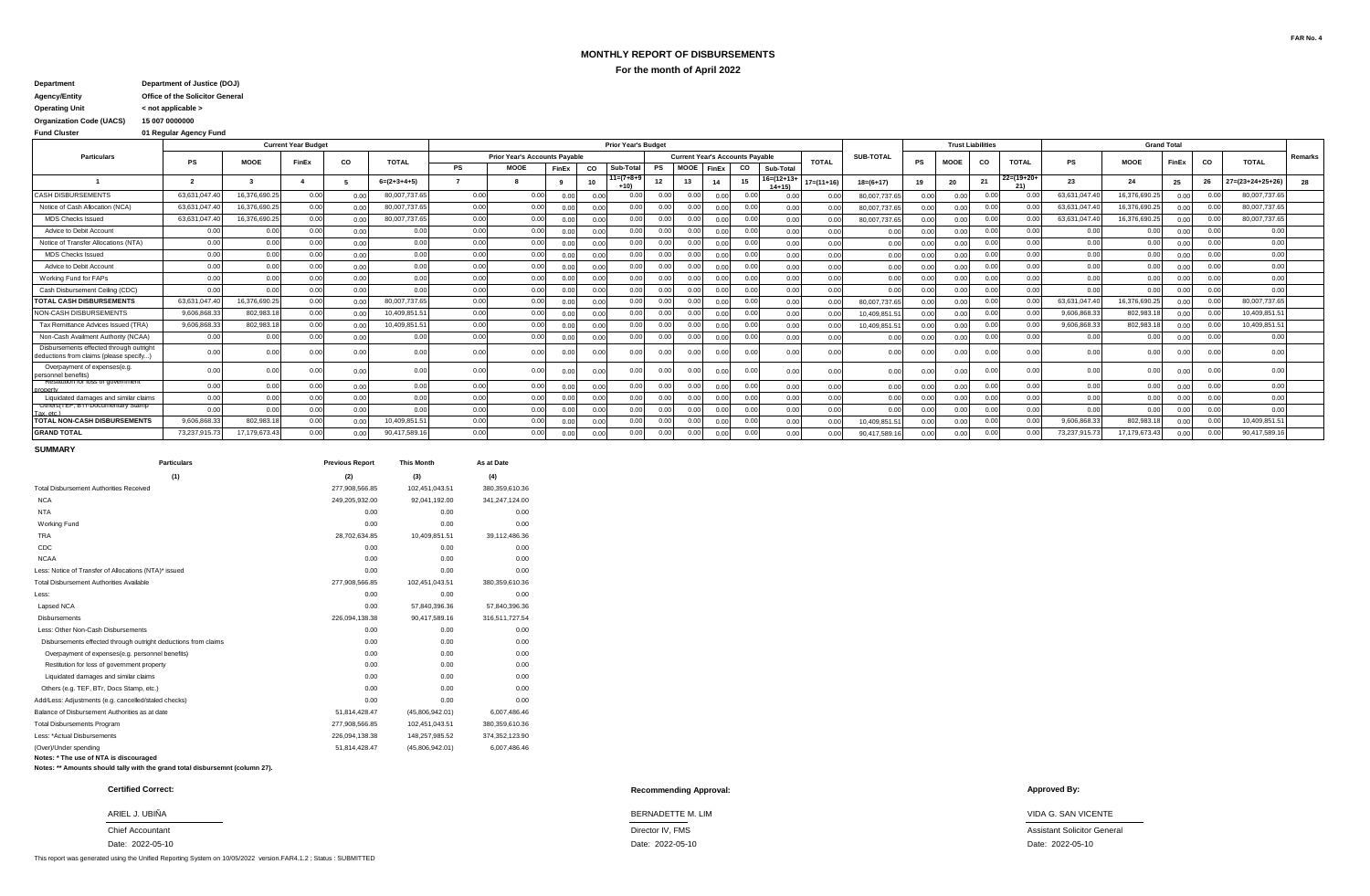## **MONTHLY REPORT OF DISBURSEMENTS For the month of April 2022**

### **Agency/Entity Office of the Solicitor General Operating Unit < not applicable > Department Department of Justice (DOJ)**

**Organization Code (UACS) 15 007 0000000 Fund Cluster 01 Regular Agency Fund**

|                                                                                    |               |               | <b>Current Year Budget</b> |           |               |           |                                      |       |      | <b>Prior Year's Budget</b> |      |                                        |       |           |                                |                  |                  |      |                 | <b>Trust Liabilities</b> |                     |               |               | <b>Grand Total</b> |      |                            |         |
|------------------------------------------------------------------------------------|---------------|---------------|----------------------------|-----------|---------------|-----------|--------------------------------------|-------|------|----------------------------|------|----------------------------------------|-------|-----------|--------------------------------|------------------|------------------|------|-----------------|--------------------------|---------------------|---------------|---------------|--------------------|------|----------------------------|---------|
| <b>Particulars</b>                                                                 | PS            | <b>MOOE</b>   | FinE                       | <b>CO</b> | <b>TOTAL</b>  |           | <b>Prior Year's Accounts Pavable</b> |       |      |                            |      | <b>Current Year's Accounts Payable</b> |       |           |                                | <b>TOTAL</b>     | <b>SUB-TOTAL</b> | PS   | <b>MOOE</b>     | CO                       | <b>TOTAL</b>        | PS            | <b>MOOE</b>   | FinEx              | CO   | <b>TOTAL</b>               | Remarks |
|                                                                                    |               |               |                            |           |               | <b>PS</b> | <b>MOOE</b>                          | FinEx | co   | Sub-Total                  | PS   | <b>MOOE</b>                            | FinEx | <b>CO</b> | Sub-Total                      |                  |                  |      |                 |                          |                     |               |               |                    |      |                            |         |
|                                                                                    |               |               |                            |           | $6=(2+3+4+5)$ |           |                                      |       | 10   | =(7+8+9                    | 12   | 13                                     | 14    |           | $16 = (12 + 13 +$<br>$14 + 15$ | $17 = (11 + 16)$ | $18=(6+17)$      | 19   | 20              | 21                       | $22=(19+20+$<br>21) | 23            | 24            | 25                 | 26   | $27 = (23 + 24 + 25 + 26)$ | 28      |
| <b>CASH DISBURSEMENTS</b>                                                          | 63.631.047.4  | 16,376,690.25 | 0.00                       | 0.00      | 80.007.737.65 | 0.00      | 0.00                                 |       |      |                            |      |                                        |       |           | 0.00                           | 0.00             | 80.007.737.65    | n nn | 0.0             | 0.00                     |                     | 63.631.047.40 | 16,376,690.2  | 0.00               | 0.00 | 80.007.737.65              |         |
| Notice of Cash Allocation (NCA)                                                    | 63,631,047.40 | 16,376,690.2  | 0.00                       | 0.00      | 80,007,737.65 | 0.00      | 0.00                                 |       |      | 0.00                       | 0.00 | 0.00                                   |       | 0.00      | 0.00                           | 0.00             | 80.007.737.6     |      | 0.0             | 0.00                     | 0.00                | 63,631,047.40 | 16,376,690.2  | 0.00               | 0.00 | 80,007,737.65              |         |
| <b>MDS Checks Issued</b>                                                           | 63,631,047.40 | 16,376,690.2  | 0.00                       | 0.00      | 80.007.737.65 | 0.00      | 0.00                                 |       |      |                            |      |                                        |       | 0.00      | 0.00                           | 0.00             | 80,007,737.65    |      | 0.0             | 0.00                     |                     | 63,631,047.40 | 16,376,690.2  | 0.00               | 0.00 | 80,007,737.65              |         |
| Advice to Debit Account                                                            | 0.00          | 0.00          | 0.00                       | 0.00      | 0.00          | 0.00      | 0.00                                 |       |      | 0.00                       | 0.00 |                                        |       | 0.00      | 0.00                           | 0.00             | 0.00             |      | 0. <sub>C</sub> | 0.00                     | 0.00                | 0.00          | 0.00          | 0.00               | 0.00 | 0.00                       |         |
| Notice of Transfer Allocations (NTA)                                               | 0.00          | 0.00          | 0.00                       | 0.00      | 0.00          | 0.00      | 0.00                                 |       |      | 0.00                       | 0.00 |                                        |       | 0.00      | 0.00                           | 0.00             | 0.00             |      | 0.0             | 0.00                     | 0.00                | 0.00          | 0.00          |                    | 0.00 | 0.00                       |         |
| <b>MDS Checks Issued</b>                                                           | 0.00          | 0.00          | 0.00                       | 0.00      | 0.00          | 0.00      | 0.00                                 |       |      | 0.00                       |      |                                        |       | 0.00      | 0.00                           | 0.00             | 0.00             |      | 0.0             | 0.00                     | 0.00                | 0.00          | 0.00          |                    | 0.00 | 0.00                       |         |
| Advice to Debit Account                                                            | 0.00          | 0.00          | 0.00                       | 0.00      | 0.00          | 0.00      | 0.00                                 |       |      | 0.00                       | 0.00 |                                        |       | 0.00      | 0.00                           | 0.00             | 0.00             |      | 0.0             | 0.00                     | 0.00                | 0.00          | 0.00          | 0.00               | 0.00 | 0.00                       |         |
| Working Fund for FAPs                                                              | 0.00          | 0.00          | 0.00                       | 0.00      | 0.00          | 0.00      | 0.00                                 | 0.00  |      |                            |      |                                        |       | 0.00      | 0.00                           | 0.00             | 0.00             |      | 0.0             | 0.00                     | 0.00                | 0.00          | 0.00          | 0.00               | 0.00 | 0.00                       |         |
| Cash Disbursement Ceiling (CDC)                                                    | 0.00          | 0.00          | 0.00                       | 0.00      | 0.00          | 0.00      | 0.00                                 | 0.00  |      | 0.00                       |      |                                        |       | 0.00      | 0.00                           | 0.00             | 0.00             |      | 0 <sup>c</sup>  | 0.00                     | 0.00                | 0.00          | 0.00          | 0.00               | 0.00 | 0.00                       |         |
| TOTAL CASH DISBURSEMENTS                                                           | 63,631,047.40 | 16,376,690.25 | 0.00                       | 0.00      | 80,007,737.65 | 0.00      | 0.00                                 | 0.00  |      | 0.00                       | 0.00 |                                        |       | 0.00      | 0.00                           | 0.00             | 80,007,737.65    |      | 0.0             | 0.0                      | 0.00                | 63,631,047.40 | 16,376,690.25 | 0.00               | 0.00 | 80,007,737.65              |         |
| NON-CASH DISBURSEMENTS                                                             | 9.606.868.3   | 802,983.1     | 0.00                       | 0.00      | 10,409,851.51 | 0.00      | 0.00                                 | 0.00  | 0.00 | 0.00                       | 0.00 |                                        |       | 0.00      | 0.00                           | 0.00             | 10.409.851.      |      | 0.0             | 0.00                     | 0.00                | 9,606,868.33  | 802,983.1     | 0.00               | 0.00 | 10,409,851.5               |         |
| Tax Remittance Advices Issued (TRA)                                                | 9,606,868.3   | 802,983.1     | 0.00                       | 0.00      | 10,409,851.51 | 0.00      | 0.00                                 |       |      | 0.00                       | 0.00 | n nn                                   |       | 0.00      | 0.00                           | 0.00             | 10,409,851.      |      | 0.0             | 0.00                     | 0.00                | 9,606,868.33  | 802,983.1     | 0.01               | 0.00 | 10,409,851.5               |         |
| Non-Cash Availment Authority (NCAA)                                                | 0.00          | 0.00          | 0.00                       | 0.00      | 0.00          | 0.00      | 0.00                                 |       |      | 0.00                       |      |                                        |       | 0.00      | 0.00                           | 0.00             | 0.00             |      | 0.0             | 0.00                     | 0.00                | 0.00          | 0.00          |                    | 0.00 | 0.00                       |         |
| Disbursements effected through outright<br>deductions from claims (please specify. | 0.00          | 0.00          | 0.00                       | 0.00      | 0.00          | 0.00      | 0.00                                 | 0.00  |      | ი იი                       |      |                                        | 0.00  | 0.00      | 0.00                           | 0.00             | 0.00             |      | 0.0             | 0.00                     | 0.00                | 0.00          | 0.001         | 0.00               | 0.00 | 0.00                       |         |
| Overpayment of expenses(e.g.<br>personnel benefits)                                | 0.00          | 0.00          | 0.00                       | 0.00      | 0.00          | 0.00      | 0.00                                 |       |      |                            |      |                                        |       |           | n nn                           | 0.00             | 0.00             |      |                 | n no                     | 0.00                | 0.00          | 0.00          |                    | 0.0  | 0.00                       |         |
| <b>Restration for loss of dovernment</b><br>nronerty                               | 0.00          | 0.00          | 0.00                       | 0.00      | 0.00          | 0.00      | 0.00                                 | 0.00  |      |                            |      |                                        |       | 0.00      | 0.00                           | 0.00             | 0.00             |      | 0.0             | 0.00                     | 0.00                | 0.00          | 0.00          | 0.00               | 0.00 | 0.00                       |         |
| Liquidated damages and similar claims                                              | 0.00          | 0.00          | 0.00                       | 0.00      | 0.00          | 0.00      | 0.00                                 |       |      | 0.00                       | 0.00 |                                        |       | 0.00      | 0.00                           | 0.00             | 0.00             |      | 0.0             | 0.00                     | 0.00                | 0.00          | 0.00          | 0.00               | 0.00 | 0.00                       |         |
| Uthers(TEF, BTFDocumentary Stamp<br>Tax etc)                                       | 0.00          | 0.00          | 0.00                       | 0.00      | 0.00          | 0.00      | 0.00                                 |       |      | 0.00                       |      |                                        |       | 0.0       | 0.00                           | 0.00             | 0.00             |      |                 | 0.0                      | 0.00                | 0.00          | 0.00          | 0.0(               | 0.00 | 0.00                       |         |
| TOTAL NON-CASH DISBURSEMENTS                                                       | 9.606.868.33  | 802,983.1     | 0.00                       | 0.00      | 10,409,851.51 | 0.00      | 0.00                                 |       |      | 0.00                       |      |                                        |       | 0.00      | 0.00                           | 0.00             | 10,409,851.      |      | 0.0             | 0.0                      | 0.00                | 9,606,868.33  | 802,983.1     | 0.0(               | 0.00 | 10,409,851.5               |         |
| <b>GRAND TOTAL</b>                                                                 | 73.237.915.7  | 17,179,673.43 | 0.00                       | 0.00      | 90,417,589.1  | 0.00      | 0.00                                 |       |      | 0.00                       | 0.00 | 0.00                                   |       | 0.00      | 0.00                           | 0.00             | 90,417,589.1     |      | $^{\circ}$      | 0.00                     | 0.00                | 73,237,915.73 | 17,179,673.43 | 0.00               | 0.00 | 90,417,589.1               |         |

### **SUMMARY**

| <b>Particulars</b>                                             | <b>Previous Report</b> | <b>This Month</b> | As at Date     |  |
|----------------------------------------------------------------|------------------------|-------------------|----------------|--|
| (1)                                                            | (2)                    | (3)               | (4)            |  |
| <b>Total Disbursement Authorities Received</b>                 | 277,908,566.85         | 102,451,043.51    | 380,359,610.36 |  |
| <b>NCA</b>                                                     | 249.205.932.00         | 92.041.192.00     | 341,247,124.00 |  |
| <b>NTA</b>                                                     | 0.00                   | 0.00              | 0.00           |  |
| <b>Working Fund</b>                                            | 0.00                   | 0.00              | 0.00           |  |
| <b>TRA</b>                                                     | 28,702,634.85          | 10,409,851.51     | 39,112,486.36  |  |
| CDC                                                            | 0.00                   | 0.00              | 0.00           |  |
| <b>NCAA</b>                                                    | 0.00                   | 0.00              | 0.00           |  |
| Less: Notice of Transfer of Allocations (NTA)* issued          | 0.00                   | 0.00              | 0.00           |  |
| <b>Total Disbursement Authorities Available</b>                | 277,908,566.85         | 102,451,043.51    | 380,359,610.36 |  |
| Less:                                                          | 0.00                   | 0.00              | 0.00           |  |
| Lapsed NCA                                                     | 0.00                   | 57.840.396.36     | 57.840.396.36  |  |
| <b>Disbursements</b>                                           | 226.094.138.38         | 90,417,589.16     | 316,511,727.54 |  |
| Less: Other Non-Cash Disbursements                             | 0.00                   | 0.00              | 0.00           |  |
| Disbursements effected through outright deductions from claims | 0.00                   | 0.00              | 0.00           |  |
| Overpayment of expenses(e.g. personnel benefits)               | 0.00                   | 0.00              | 0.00           |  |
| Restitution for loss of government property                    | 0.00                   | 0.00              | 0.00           |  |
| Liquidated damages and similar claims                          | 0.00                   | 0.00              | 0.00           |  |
| Others (e.g. TEF, BTr, Docs Stamp, etc.)                       | 0.00                   | 0.00              | 0.00           |  |
| Add/Less: Adjustments (e.g. cancelled/staled checks)           | 0.00                   | 0.00              | 0.00           |  |
| Balance of Disbursement Authorities as at date                 | 51.814.428.47          | (45,806,942.01)   | 6,007,486.46   |  |
| <b>Total Disbursements Program</b>                             | 277.908.566.85         | 102,451,043.51    | 380,359,610.36 |  |
| Less: *Actual Disbursements                                    | 226.094.138.38         | 148.257.985.52    | 374.352.123.90 |  |
| (Over)/Under spending                                          | 51,814,428.47          | (45,806,942.01)   | 6,007,486.46   |  |
| Notes: * The use of NTA is discouraged                         |                        |                   |                |  |

**Notes: \* The use of NTA is discouraged Notes: \*\* Amounts should tally with the grand total disbursemnt (column 27).**

Date: 2022-05-10

This report was generated using the Unified Reporting System on 10/05/2022 version.FAR4.1.2 ; Status : SUBMITTED

### **Recommending Approval: Certified Correct: Approved By:**

ARIEL J. UBIÑA DERNADETTE M. LIM BERNADETTE M. LIM BERNADETTE M. LIM DERNADETTE M. LIM VIDA G. SAN VICENTE Date: 2022-05-10 Date: 2022-05-10 Chief Accountant Director IV, FMS Assistant Solicitor General 2022-05-10 Date: Date: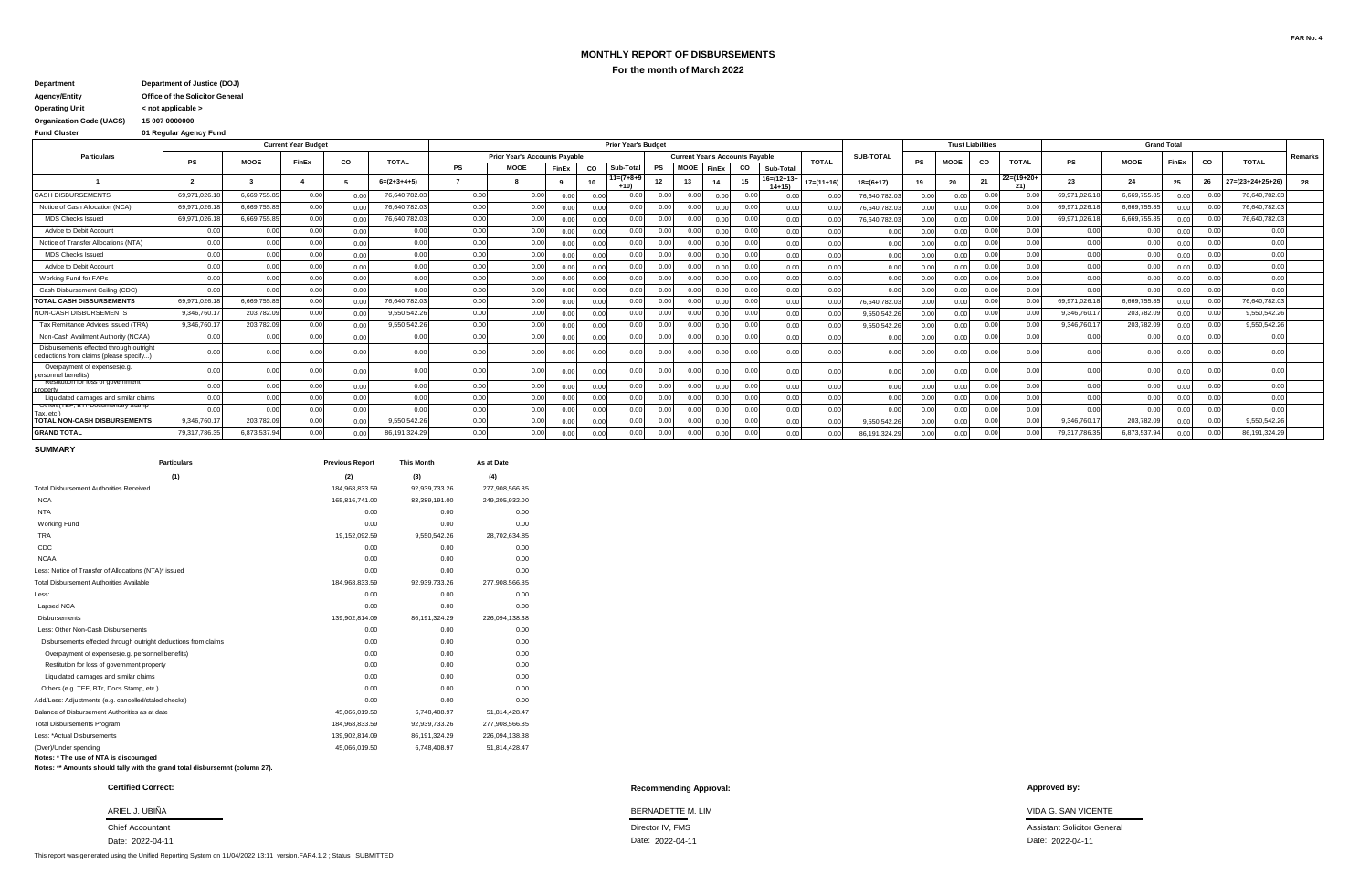# **MONTHLY REPORT OF DISBURSEMENTS**

### **Agency/Entity Office of the Solicitor General Operating Unit < not applicable > Department Department of Justice (DOJ)**

**Organization Code (UACS) 15 007 0000000**

**Fund Cluster 01 Regular Agency Fund**

|                                                                                   |              |              | <b>Current Year Budget</b> |           |                 |      |                                      |       |      | <b>Prior Year's Budget</b> |                |             |                                        |      |                                |              |                  |    |                | <b>Trust Liabilities</b> |                     |               |              | <b>Grand Total</b> |           |                            |         |
|-----------------------------------------------------------------------------------|--------------|--------------|----------------------------|-----------|-----------------|------|--------------------------------------|-------|------|----------------------------|----------------|-------------|----------------------------------------|------|--------------------------------|--------------|------------------|----|----------------|--------------------------|---------------------|---------------|--------------|--------------------|-----------|----------------------------|---------|
| <b>Particulars</b>                                                                | PS           | <b>MOOE</b>  | FinEx                      | <b>CO</b> | <b>TOTAL</b>    |      | <b>Prior Year's Accounts Payable</b> |       |      |                            |                |             | <b>Current Year's Accounts Pavable</b> |      |                                | <b>TOTAL</b> | <b>SUB-TOTAL</b> | PS | <b>MOOE</b>    | <b>CO</b>                | <b>TOTAL</b>        | PS            | <b>MOOE</b>  | FinEx              | <b>CO</b> | <b>TOTAL</b>               | Remarks |
|                                                                                   |              |              |                            |           |                 | PS   | <b>MOOE</b>                          | FinEx | co   | Sub-Total                  | <b>PS</b>      | <b>MOOE</b> | <b>FinEx</b>                           | CO   | Sub-Total                      |              |                  |    |                |                          |                     |               |              |                    |           |                            |         |
|                                                                                   |              |              |                            |           | $6=(2+3+4+5)$   |      |                                      |       | 10   | $1 = (7 + 8 + 9)$<br>$+10$ | 12             | 13          | 14                                     | 15   | $16 = (12 + 13 +$<br>$14 + 15$ | $17=(11+16)$ | $18=(6+17)$      | 19 | 20             | 21                       | $22=(19+20+$<br>21) | 23            | 24           | 25                 | 26        | $27 = (23 + 24 + 25 + 26)$ |         |
| <b>CASH DISBURSEMENTS</b>                                                         | 69,971,026.1 | 6.669.755.8  | 0.00                       | 0.00      | 76,640,782.0    | 0.00 | 0.00                                 | 0.00  | 0.0  |                            |                | 0.00        |                                        | 0.00 | 0.00                           | 0.00         | 76,640,782.0     |    | 0.0            | 0.00                     |                     | 69,971,026.18 | 6,669,755.85 | 0.0                | 0.00      | 76,640,782.03              |         |
| Notice of Cash Allocation (NCA)                                                   | 69,971,026.1 | 6.669.755.8  | 0.00                       | 0.00      | 76,640,782.0    | 0.00 | 0.00                                 | 0.00  | 0.00 |                            |                | 0.00        |                                        | 0.00 | 0.00                           | 0.00         | 76,640,782.0     |    | 0.0            | 0.00                     |                     | 69,971,026.18 | 6,669,755.85 |                    | 0.00      | 76,640,782.03              |         |
| <b>MDS Checks Issued</b>                                                          | 69,971,026.1 | 6,669,755.8  | 0.00                       | 0.00      | 76,640,782.0    | 0.00 | 0.00                                 |       |      |                            |                |             |                                        | 0.00 | 0.00                           | 0.00         | 76,640,782.0     |    | 0.0            | 0.00                     |                     | 69,971,026.18 | 6,669,755.85 | 0.0                | 0.00      | 76,640,782.03              |         |
| Advice to Debit Account                                                           | 0.00         | 0.00         | 0.00                       | 0.00      | 0.00            | 0.00 | 0.00                                 | 0.00  | 0.0  |                            | 0.0            | 0.00        |                                        | 0.00 | 0.00                           | 0.00         | 0.00             |    | 0.0            | 0.00                     | 0.00                | 0.00          | 0.00         | 0.0                | 0.00      | 0.00                       |         |
| Notice of Transfer Allocations (NTA)                                              | 0.00         | 0.00         | 0.00                       | 0.00      | 0.00            | 0.00 | 0.00                                 | 0.00  |      |                            |                | 0.00        |                                        | 0.00 | 0.00                           | 0.00         | 0.00             |    | $^{\circ}$     | 0.00                     | 0.00                | 0.00          | 0.00         |                    | 0.00      | 0.00                       |         |
| <b>MDS Checks Issued</b>                                                          | 0.00         | 0.00         | 0.00                       | 0.00      | 0.00            | 0.00 | 0.00                                 | 0.00  | 0.0  |                            | 0.0            | 0.00        |                                        | 0.00 | 0.00                           | 0.00         | 0.00             |    | 0.0            | 0.00                     | 0.00                | 0.00          | 0.00         | 0.0                | 0.00      | 0.00                       |         |
| Advice to Debit Account                                                           | 0.00         | 0.00         | 0.00                       | 0.00      | 0.00            | 0.00 | 0.00                                 | 0.00  | 0.0  |                            | 0 <sub>0</sub> | n nn        |                                        | 0.00 | 0.00                           | 0.00         | 0.00             |    | 0 <sup>c</sup> | 0.00                     | 0.00                | 0.00          | 0.00         | 0.0                | 0.00      | 0.00                       |         |
| Working Fund for FAPs                                                             | 0.00         | 0.00         | 0.00                       | 0.00      | 0.00            | 0.00 | 0.00                                 |       | 0.0  |                            |                | 0.00        |                                        | 0.00 | 0.00                           | 0.00         | 0.00             |    | 0.0            | 0.00                     | 0.00                | 0.00          | 0.00         | 0.0                | 0.00      | 0.00                       |         |
| Cash Disbursement Ceiling (CDC)                                                   | 0.00         | n nr         | 0.00                       | 0.00      | 0.00            | 0.00 | 0.00                                 | 0.00  | 0.00 |                            | 0 <sub>0</sub> | 0.00        |                                        | 0.00 | 0.00                           | 0.00         | 0.00             |    |                | 0.00                     | 0.00                | 0.00          | 0.00         | 0.0                | 0.00      | 0.00                       |         |
| <b>TOTAL CASH DISBURSEMENTS</b>                                                   | 69.971.026.1 | 6.669.755.85 | 0.00                       | 0.00      | 76,640,782.0    | 0.00 | 0.00                                 | 0.00  | 0.0  |                            |                | 0.00        |                                        | 0.00 | 0.00                           | 0.00         | 76,640,782.0     |    | 0.0            | 0.00                     | 0.00                | 69,971,026.18 | 6.669.755.85 | 0.0                | 0.00      | 76,640,782.03              |         |
| NON-CASH DISBURSEMENTS                                                            | 9,346,760.1  | 203,782.09   | 0.00                       | 0.00      | 9,550,542.2     | 0.00 | 0.00                                 | 0.00  | 0.00 |                            | 0.0            | 0.00        |                                        | 0.00 | 0.00                           | 0.00         | 9,550,542.2      |    |                | 0.00                     |                     | 9,346,760.17  | 203,782.09   | 0 <sub>0</sub>     | 0.00      | 9,550,542.26               |         |
| Tax Remittance Advices Issued (TRA)                                               | 9,346,760.1  | 203,782.09   | 0.00                       | 0.00      | 9,550,542.26    | 0.00 | 0.00                                 | 0.00  | 0.0  |                            | 0.0            | 0.00        | n nr                                   | 0.00 | 0.00                           | 0.00         | 9,550,542.26     |    |                | 0.00                     |                     | 9,346,760.17  | 203,782.09   | 0 <sub>0</sub>     | 0.00      | 9,550,542.26               |         |
| Non-Cash Availment Authority (NCAA)                                               | 0.00         | 0.00         | 0.00                       | 0.00      | 0.00            | 0.00 | 0.00                                 | 0.00  | 0.00 |                            | 0.0            | 0.00        |                                        | 0.00 | 0.00                           | 0.00         | 0.00             |    |                | 0.00                     | 0.00                | 0.00          | 0.00         |                    | 0.00      | 0.00                       |         |
| Disbursements effected through outright<br>deductions from claims (please specify | 0.00         | 0.00         | 0.00                       | 0.00      | 0.00            | 0.00 | 0.00                                 | n nn  | 0.00 |                            |                | 0.00        | 0.00                                   | 0.00 | 0.00                           | 0.00         | 0.00             |    | 0.0            | 0.00                     | 0.00                | 0.00          | 0.00         | 0.00               | 0.00      | 0.00                       |         |
| Overpayment of expenses(e.g.<br>personnel benefits)                               | 0.00         |              | 0.00                       | 0.00      | 0.00            | 0.00 | 0.00                                 | 0.00  | 0.00 |                            |                | 0.00        | 0.00                                   | 0.00 | 0.00                           | 0.00         | 0.00             |    |                | 0.00                     |                     |               | 0.00         |                    |           | 0.00                       |         |
| <b>Restration for loss of government</b><br>ronerty                               | 0.00         | 0.00         | 0.00                       | 0.00      | 0.00            | 0.00 | 0.00                                 |       |      |                            |                | 0.00        |                                        | 0.00 | 0.00                           | 0.00         | 0.00             |    |                | 0.00                     | 0.00                | 0.00          | 0.00         |                    | 0.00      | 0.00                       |         |
| Liquidated damages and similar claims                                             | 0.00         | 0.00         | 0.00                       | 0.00      | 0.00            | 0.00 | 0.00                                 | 0.00  | 0.0  |                            |                | 0.00        |                                        | 0.00 | 0.00                           | 0.00         | 0.00             |    | 0.0            | 0.00                     | 0.00                | 0.00          | 0.00         | 0.0                | 0.00      | 0.00                       |         |
| Uthers(IEF, BIT-Documentary Stamp<br>Tax etc.                                     | 0.00         | n nr         | 0.00                       | 0.00      | 0.00            | 0.00 | 0.00                                 | 0.00  | 0.0  |                            |                | 0.00        |                                        | 0.00 | 0.00                           | 0.00         | 0.0(             |    | 0.0            | 0.00                     | 0.00                | 0.00          | 0.00         | 0.0                | 0.00      | 0.00                       |         |
| TOTAL NON-CASH DISBURSEMENTS                                                      | 9,346,760.1  | 203,782.09   | 0.00                       | 0.00      | 9,550,542.26    | 0.00 | 0.00                                 | 0.00  | 0.0  |                            |                | 0.00        |                                        | 0.00 | 0.00                           | 0.00         | 9.550.542.26     |    | $^{\circ}$     | 0.00                     | 0.00                | 9,346,760.17  | 203,782.09   | n c                | 0.00      | 9,550,542.26               |         |
| <b>GRAND TOTAL</b>                                                                | 79,317,786.3 | 6,873,537.94 | 0.00                       | 0.00      | 86, 191, 324. 2 | 0.00 | 0.00                                 | 0.00  | 0.00 |                            |                | 0.00        |                                        | 0.00 | 0.00                           | 0.00         | 86,191,324.29    |    | 0.0            | 0.00                     |                     | 79,317,786.35 | 6,873,537.94 | 0.00               | 0.00      | 86,191,324.29              |         |

### **SUMMARY**

| <b>Particulars</b>                                             | <b>Previous Report</b> | <b>This Month</b> | As at Date     |
|----------------------------------------------------------------|------------------------|-------------------|----------------|
| (1)                                                            | (2)                    | (3)               | (4)            |
| <b>Total Disbursement Authorities Received</b>                 | 184.968.833.59         | 92,939,733.26     | 277,908,566.85 |
| <b>NCA</b>                                                     | 165.816.741.00         | 83.389.191.00     | 249.205.932.00 |
| <b>NTA</b>                                                     | 0.00                   | 0.00              | 0.00           |
| <b>Working Fund</b>                                            | 0.00                   | 0.00              | 0.00           |
| <b>TRA</b>                                                     | 19.152.092.59          | 9,550,542.26      | 28,702,634.85  |
| CDC                                                            | 0.00                   | 0.00              | 0.00           |
| <b>NCAA</b>                                                    | 0.00                   | 0.00              | 0.00           |
| Less: Notice of Transfer of Allocations (NTA)* issued          | 0.00                   | 0.00              | 0.00           |
| <b>Total Disbursement Authorities Available</b>                | 184.968.833.59         | 92,939,733.26     | 277,908,566.85 |
| Less:                                                          | 0.00                   | 0.00              | 0.00           |
| Lapsed NCA                                                     | 0.00                   | 0.00              | 0.00           |
| <b>Disbursements</b>                                           | 139.902.814.09         | 86.191.324.29     | 226.094.138.38 |
| Less: Other Non-Cash Disbursements                             | 0.00                   | 0.00              | 0.00           |
| Disbursements effected through outright deductions from claims | 0.00                   | 0.00              | 0.00           |
| Overpayment of expenses(e.g. personnel benefits)               | 0.00                   | 0.00              | 0.00           |
| Restitution for loss of government property                    | 0.00                   | 0.00              | 0.00           |
| Liquidated damages and similar claims                          | 0.00                   | 0.00              | 0.00           |
| Others (e.g. TEF, BTr, Docs Stamp, etc.)                       | 0.00                   | 0.00              | 0.00           |
| Add/Less: Adjustments (e.g. cancelled/staled checks)           | 0.00                   | 0.00              | 0.00           |
| Balance of Disbursement Authorities as at date                 | 45.066.019.50          | 6.748.408.97      | 51.814.428.47  |
| <b>Total Disbursements Program</b>                             | 184.968.833.59         | 92,939,733.26     | 277,908,566.85 |
| Less: *Actual Disbursements                                    | 139.902.814.09         | 86.191.324.29     | 226.094.138.38 |
| (Over)/Under spending                                          | 45.066.019.50          | 6.748.408.97      | 51.814.428.47  |
| Notes: * The use of NTA is discouraged                         |                        |                   |                |

**Notes: \* The use of NTA is discouraged Notes: \*\* Amounts should tally with the grand total disbursemnt (column 27).**

Date: 2022-04-11

This report was generated using the Unified Reporting System on 11/04/2022 13:11 version.FAR4.1.2 ; Status : SUBMITTED

# **For the month of March 2022**

**Recommending Approval: Certified Correct: Approved By:**

ARIEL J. UBINA BERNADETTE M. LIM BERNADETTE M. LIM BERNADETTE M. LIM VIDA G. SAN VICENTE Date: 2022-04-11 Date: 2022-04-11 2022-04-11 Date: Date:

Chief Accountant Assistant Solicitor General Assistant Solicitor General Assistant Solicitor General Assistant Solicitor General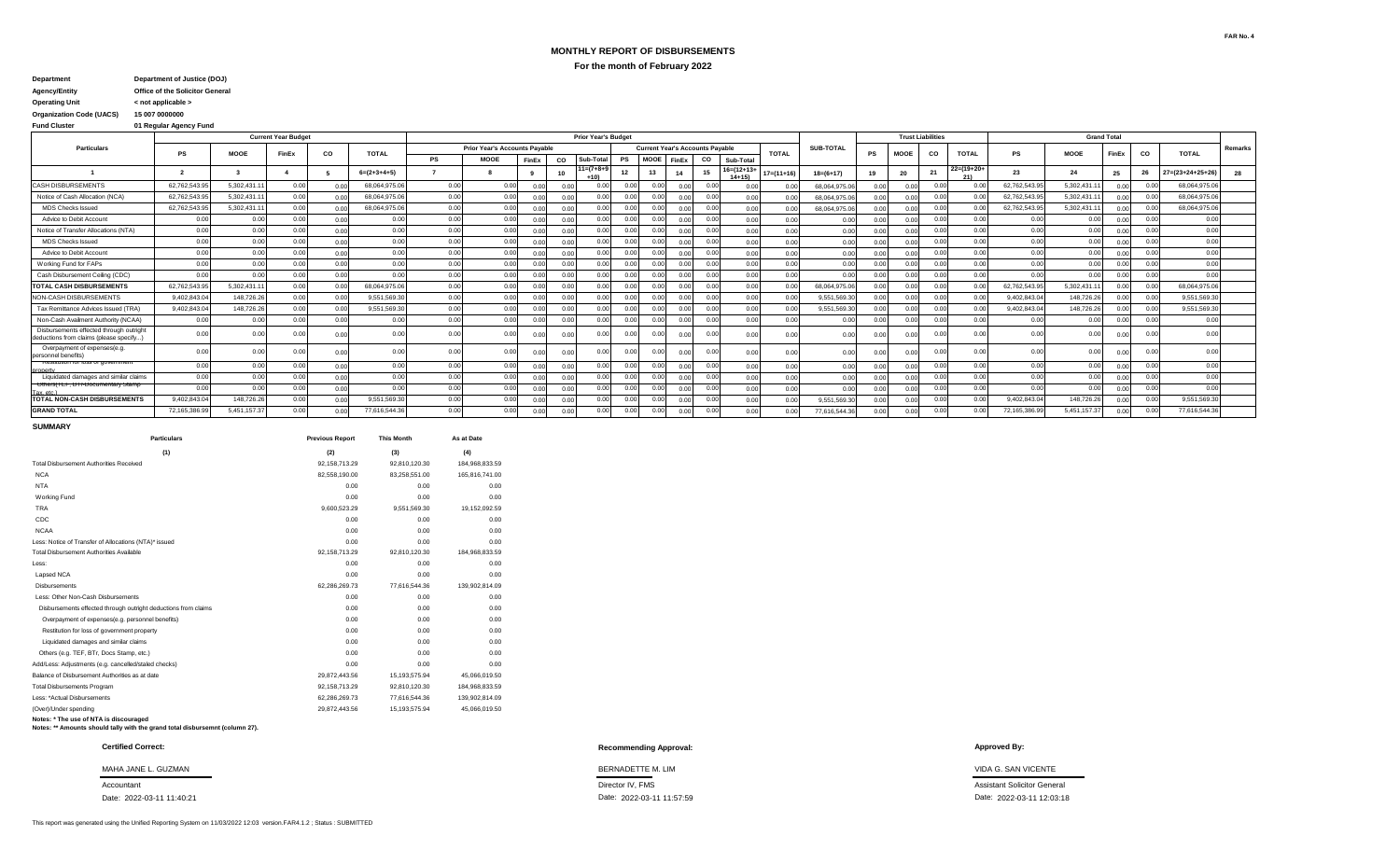### **MONTHLY REPORT OF DISBURSEMENTS For the month of February 2022**

# **Agency/Entity Office of the Solicitor General Department Department of Justice (DOJ)**

**Operating Unit < not applicable > Organization Code (UACS) Fund Cluster 01 Regular Agency Fund**

|                                                                                   |              |              | <b>Current Year Budget</b> |           |               |           |                                      |       |    | <b>Prior Year's Budget</b> |           |             |                                        |                |                                |              |                  |                |             | <b>Trust Liabilities</b> |                     |               | <b>Grand Total</b> |                 |      |                  |         |
|-----------------------------------------------------------------------------------|--------------|--------------|----------------------------|-----------|---------------|-----------|--------------------------------------|-------|----|----------------------------|-----------|-------------|----------------------------------------|----------------|--------------------------------|--------------|------------------|----------------|-------------|--------------------------|---------------------|---------------|--------------------|-----------------|------|------------------|---------|
| Particulars                                                                       | PS           | <b>MOOE</b>  | FinEx                      | <b>CO</b> | <b>TOTAL</b>  |           | <b>Prior Year's Accounts Payable</b> |       |    |                            |           |             | <b>Current Year's Accounts Payable</b> |                |                                | <b>TOTAL</b> | <b>SUB-TOTAL</b> | PS             | <b>MOOE</b> | <b>CO</b>                | <b>TOTAL</b>        | PS            | <b>MOOE</b>        | FinEx           | CO   | <b>TOTAL</b>     | Remarks |
|                                                                                   |              |              |                            |           |               | <b>PS</b> | <b>MOOE</b>                          | FinEx | CO | Sub-Total                  | <b>PS</b> | <b>MOOE</b> | <b>FinE</b>                            | <b>CO</b>      | Sub-Total                      |              |                  |                |             |                          |                     |               |                    |                 |      |                  |         |
|                                                                                   |              |              |                            |           | $6=(2+3+4+5)$ |           |                                      |       |    | $1 = (7 + 8 + 9)$          | 12        | 13          | 14                                     | 15             | $16 = (12 + 13 +$<br>$14 + 15$ | $17=(11+16)$ | $18=(6+17)$      | 19             | 20          |                          | $22=(19+20+$<br>21) | 23            | 24                 | 25              | 26   | 27=(23+24+25+26) | 28      |
| <b>CASH DISBURSEMENTS</b>                                                         | 62,762,543.9 | 5,302,431.1  | 0.00                       | 0.00      | 68.064.975.0  | 0.00      | 0.00                                 | 0.00  |    | 0.00                       | 0.00      | 0.00        |                                        | 0.0            | 0.00                           | 0.00         | 68,064,975.0     | 0.00           |             | 0.0(                     |                     | 62,762,543.95 | 5,302,431.         | 0. <sub>C</sub> | 0.00 | 68.064.975.06    |         |
| Notice of Cash Allocation (NCA)                                                   | 62,762,543.9 | 5,302,431.   | 0.00                       | 0.00      | 68,064,975.0  | 0.00      | 0.00                                 | 0.00  |    | 0.00                       |           |             |                                        | 0.0            | 0.00                           | 0.00         | 68.064.975.0     | 0.00           |             | 0. <sub>C</sub>          |                     | 62,762,543.95 | 5,302,431.         | 0. <sub>C</sub> | 0.00 | 68,064,975.06    |         |
| <b>MDS Checks Issued</b>                                                          | 62,762,543.9 | 5,302,431.1  | 0.00                       | 0.00      | 68.064.975.0  | 0.00      | 0.00                                 | 0.00  |    | 0.00                       | 0.00      | 0.00        |                                        | 0.0            | 0.00                           | 0.00         | 68,064,975.0     | 0.00           |             | 0.0(                     | 0.00                | 62,762,543.95 | 5,302,431.1        | 0.0             | 0.00 | 68,064,975.06    |         |
| Advice to Debit Account                                                           | 0.00         | 0.00         | 0.00                       | 0.00      | 0.00          | 0.00      | 0.00                                 | 0.00  |    | 0.00                       |           | 0.00        |                                        | 0 <sub>c</sub> | 0.00                           | 0.00         | 0.00             |                |             | 0.0(                     | 0.00                | 0.00          | 0.00               | 0.0             | 0.00 | 0.00             |         |
| Notice of Transfer Allocations (NTA)                                              | 0.00         | 0.00         | 0.00                       | 0.00      | 0.00          | 0.00      | 0.00                                 | 0.00  |    | 0.00                       |           | 0.00        |                                        | 0 <sub>c</sub> | 0.00                           | 0.00         | 0.00             |                |             | 0.01                     | 0.00                | 0.00          | 0.00               | 0.0             | 0.00 | 0.00             |         |
| <b>MDS Checks Issued</b>                                                          | 0.00         | 0.00         | 0.00                       | 0.00      | 0.00          | 0.00      | 0.00                                 | 0.00  |    | 0.00                       |           | 0.00        |                                        | 0 <sub>c</sub> | 0.00                           | 0.00         | 0.00             |                |             | 0.0(                     | 0.00                | 0.00          | 0.00               | 0.0             | 0.00 | 0.00             |         |
| Advice to Debit Account                                                           | 0.00         | 0.00         | 0.00                       | 0.00      | 0.00          | 0.00      | 0.00                                 | 0.00  |    | 0.00                       |           | 0.00        |                                        |                | 0.00                           | 0.00         | 0.00             |                |             | 0.01                     | 0.00                | 0.00          | 0.00               | 0. <sub>C</sub> | 0.00 | 0.00             |         |
| Working Fund for FAPs                                                             | 0.00         | 0.00         | 0.00                       | 0.00      | 0.00          | 0.00      | 0.00                                 | 0.00  |    | 0.00                       |           | n nn        |                                        | 0 <sub>c</sub> | 0.00                           | 0.00         | 0.00             |                |             | 0.00                     | 0.00                | 0.00          | 0.00               | 0.0             | 0.00 | 0.00             |         |
| Cash Disbursement Ceiling (CDC)                                                   | 0.00         | 0.00         | 0.00                       | 0.00      | 0.00          | 0.00      | 0.00                                 | 0.00  |    | 0.00                       |           | n nn        |                                        |                | 0.00                           | 0.00         | 0.00             |                |             | 0.01                     | 0.00                | 0.00          | 0.00               | 0 <sub>c</sub>  | 0.00 | 0.00             |         |
| <b>TOTAL CASH DISBURSEMENTS</b>                                                   | 62.762.543.9 | 5.302.431.1  | 0.00                       | 0.00      | 68.064.975.06 | 0.00      | 0.00                                 | 0.00  |    | 0.00                       |           | n nn        |                                        | 0.0            | 0.00                           | 0.00         | 68.064.975.0     | 0 <sub>0</sub> |             | 0.0(                     | 0.00                | 62,762,543.95 | 5.302.431.1        |                 | 0.00 | 68,064,975.06    |         |
| NON-CASH DISBURSEMENTS                                                            | 9.402.843.0  | 148,726.26   | 0.00                       | 0.00      | 9.551.569.3   | 0.00      | 0.00                                 | 0.00  |    | 0.00                       |           | 0.00        |                                        | 0.0            | 0.00                           | 0.00         | 9,551,569.3      |                |             | 0.0(                     | 0.00                | 9,402,843.04  | 148,726.26         | 0 <sup>0</sup>  | 0.00 | 9,551,569.30     |         |
| Tax Remittance Advices Issued (TRA)                                               | 9,402,843.04 | 148,726.26   | 0.00                       | 0.00      | 9,551,569.3   | 0.00      | 0.00                                 | 0.00  |    | 0.00                       |           | n nn        |                                        | 0.0            | 0.00                           | 0.00         | 9,551,569.3      |                |             | 0.0(                     | 0.00                | 9,402,843.04  | 148,726.26         |                 | 0.00 | 9,551,569.30     |         |
| Non-Cash Availment Authority (NCAA)                                               | 0.00         | 0.00         | 0.00                       | 0.00      | 0.00          | 0.00      | 0.00                                 | 0.0   |    | 0.00                       |           | 0.00        |                                        | 0.0            | 0.00                           | 0.00         | 0.00             | n nn           |             | 0.01                     | 0.00                | 0.00          | 0.00               | 0 <sup>c</sup>  | 0.00 | 0.00             |         |
| Disbursements effected through outright<br>deductions from claims (please specify | 0.00         | 0.00         | 0.00                       | 0.00      | 0.00          | 0.00      | 0.00                                 | 0.00  |    | 0.00                       |           | 0.00        | n nn                                   | 0.01           | 0.00                           | 0.00         | 0.00             |                |             | 0.0(                     | 0.00                | 0.00          | 0.00               | 0 <sub>c</sub>  | 0.00 | 0.00             |         |
| Overpayment of expenses(e.g.<br>personnel benefits)                               | 0.00         | 0.00         | 0.00                       | 0.00      | 0.00          | 0.00      | 0.00                                 | 0.00  |    | 0.00                       |           |             |                                        | 0.0            | 0.00                           | 0.00         | 0.00             |                |             |                          | 0.00                | 0.00          | 0.00               | 0 <sub>c</sub>  |      | 0.00             |         |
| kesiiminin in inss of dovernment<br>mnerty                                        | 0.00         | 0.00         | 0.00                       | 0.00      | 0.00          | 0.00      | 0.00                                 | 0.00  |    | 0.00                       |           | n nn        |                                        | 0 <sub>c</sub> | 0.00                           | 0.00         | 0.00             |                |             | 0.01                     | 0.00                | 0.00          | 0.00               | 0.0             | 0.00 | 0.00             |         |
| Liquidated damages and similar claims                                             | 0.00         | 0.00         | 0.00                       | 0.00      | 0.00          | 0.00      | 0.00                                 | 0.00  |    | 0.00                       |           | 0.00        |                                        | 0 <sub>c</sub> | 0.00                           | 0.00         | 0.00             |                |             | 0.0(                     | 0.00                | 0.00          | 0.00               | 0 <sub>c</sub>  | 0.00 | 0.00             |         |
| Uthers (TEP, DTI-DUCumentary Stamp<br>Tax etc.                                    | 0.00         | 0.00         | 0.00                       | 0.00      | 0.00          | 0.00      | 0.00                                 | 0.00  |    | 0.00                       |           | n nn        |                                        | 0 <sub>c</sub> | 0.00                           | 0.00         | 0.00             |                |             | 0.01                     | 0.00                | 0.00          | 0.00               | 0.0             | 0.00 | 0.00             |         |
| TOTAL NON-CASH DISBURSEMENTS                                                      | 9.402.843.0  | 148,726.26   | 0.00                       | 0.00      | 9.551.569.3   | 0.00      | 0.00                                 | 0.00  |    | 0.00                       |           |             |                                        | 0.0            | 0.00                           | 0.00         | 9,551,569.3      |                |             | 0. <sub>C</sub>          | 0.00                | 9,402,843.04  | 148,726.2          | n r             | 0.00 | 9.551.569.30     |         |
| <b>GRAND TOTAL</b>                                                                | 72,165,386.9 | 5,451,157.37 | 0.00                       | 0.00      | 77,616,544.3  | 0.00      | 0.00                                 | 0.00  |    | 0.00                       |           |             |                                        |                | 0.00                           | 0.00         | 77,616,544.3     |                |             | 0.01                     | 0.00                | 72,165,386.99 | 5,451,157.37       | 0 <sub>0</sub>  | 0.00 | 77,616,544.36    |         |

## **SUMMARY**

| <b>Particulars</b>                                             | <b>Previous Report</b> | <b>This Month</b> | As at Date     |
|----------------------------------------------------------------|------------------------|-------------------|----------------|
| (1)                                                            | (2)                    | (3)               | (4)            |
| <b>Total Disbursement Authorities Received</b>                 | 92.158.713.29          | 92,810,120.30     | 184,968,833.59 |
| <b>NCA</b>                                                     | 82.558.190.00          | 83.258.551.00     | 165.816.741.00 |
| <b>NTA</b>                                                     | 0.00                   | 0.00              | 0.00           |
| <b>Working Fund</b>                                            | 0.00                   | 0.00              | 0.00           |
| <b>TRA</b>                                                     | 9.600.523.29           | 9,551,569.30      | 19,152,092.59  |
| CDC                                                            | 0.00                   | 0.00              | 0.00           |
| <b>NCAA</b>                                                    | 0.00                   | 0.00              | 0.00           |
| Less: Notice of Transfer of Allocations (NTA)* issued          | 0.00                   | 0.00              | 0.00           |
| <b>Total Disbursement Authorities Available</b>                | 92,158,713.29          | 92,810,120.30     | 184,968,833.59 |
| Less:                                                          | 0.00                   | 0.00              | 0.00           |
| Lapsed NCA                                                     | 0.00                   | 0.00              | 0.00           |
| <b>Disbursements</b>                                           | 62.286.269.73          | 77,616,544.36     | 139,902,814.09 |
| Less: Other Non-Cash Disbursements                             | 0.00                   | 0.00              | 0.00           |
| Disbursements effected through outright deductions from claims | 0.00                   | 0.00              | 0.00           |
| Overpayment of expenses(e.g. personnel benefits)               | 0.00                   | 0.00              | 0.00           |
| Restitution for loss of government property                    | 0.00                   | 0.00              | 0.00           |
| Liquidated damages and similar claims                          | 0.00                   | 0.00              | 0.00           |
| Others (e.g. TEF, BTr, Docs Stamp, etc.)                       | 0.00                   | 0.00              | 0.00           |
| Add/Less: Adjustments (e.g. cancelled/staled checks)           | 0.00                   | 0.00              | 0.00           |
| Balance of Disbursement Authorities as at date                 | 29.872.443.56          | 15, 193, 575. 94  | 45.066.019.50  |
| <b>Total Disbursements Program</b>                             | 92.158.713.29          | 92.810.120.30     | 184.968.833.59 |
| Less: *Actual Disbursements                                    | 62,286,269.73          | 77,616,544.36     | 139,902,814.09 |
| (Over)/Under spending                                          | 29,872,443.56          | 15, 193, 575. 94  | 45,066,019.50  |
| Mateo: 8 The use of NTA is discouranted                        |                        |                   |                |

**Notes: \* The use of NTA is discouraged Notes: \*\* Amounts should tally with the grand total disbursemnt (column 27).**

### **Recommending Approval: Certified Correct: Approved By:**

Accountant and the settlement of the Section IV, FMS Assistant Solicitor General Assistant Solicitor General MAHA JANE L. GUZMAN BERNADETTE M. LIM BERNADETTE M. LIM BERNADETTE M. LIM VIDA G. SAN VICENTE

Date: 2022-03-11 11:57:59 2022-03-11 12:03:18 2022-03-11 11:40:21 Date: Date:

This report was generated using the Unified Reporting System on 11/03/2022 12:03 version.FAR4.1.2 ; Status : SUBMITTED